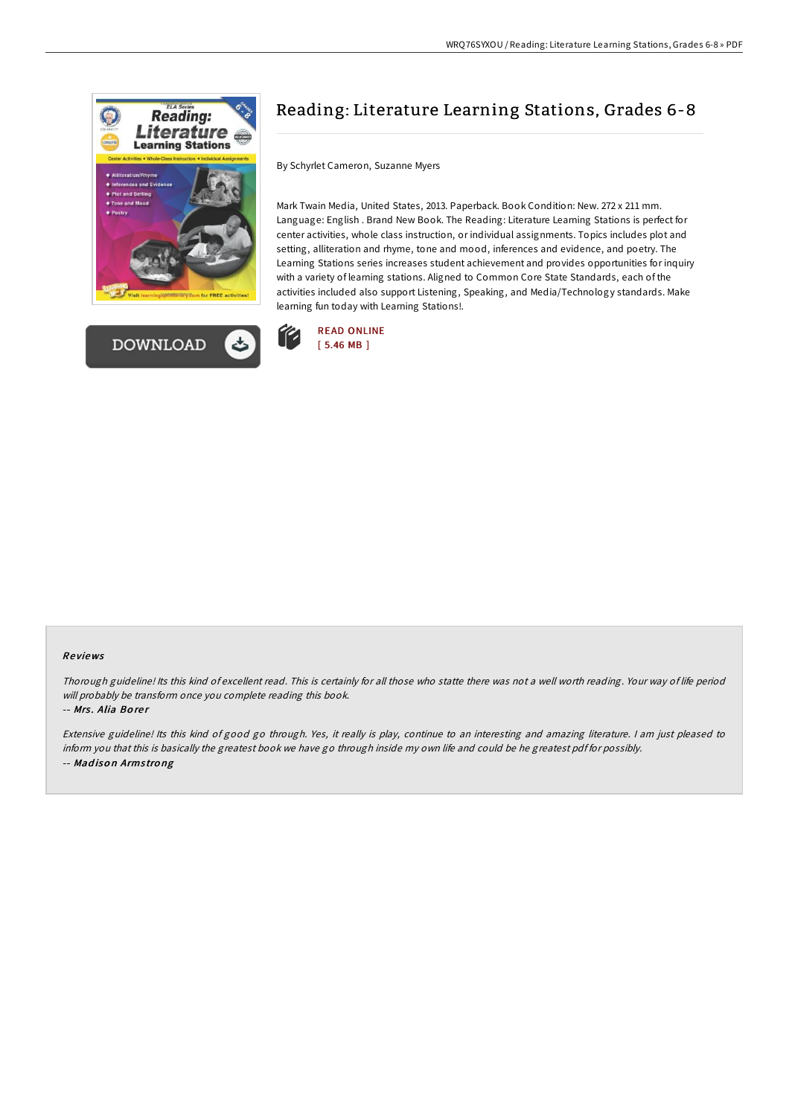



## Reading: Literature Learning Stations, Grades 6-8

By Schyrlet Cameron, Suzanne Myers

Mark Twain Media, United States, 2013. Paperback. Book Condition: New. 272 x 211 mm. Language: English . Brand New Book. The Reading: Literature Learning Stations is perfect for center activities, whole class instruction, or individual assignments. Topics includes plot and setting, alliteration and rhyme, tone and mood, inferences and evidence, and poetry. The Learning Stations series increases student achievement and provides opportunities for inquiry with a variety of learning stations. Aligned to Common Core State Standards, each of the activities included also support Listening, Speaking, and Media/Technology standards. Make learning fun today with Learning Stations!.



## Re views

Thorough guideline! Its this kind of excellent read. This is certainly for all those who statte there was not <sup>a</sup> well worth reading. Your way of life period will probably be transform once you complete reading this book.

-- Mrs. Alia Borer

Extensive guideline! Its this kind of good go through. Yes, it really is play, continue to an interesting and amazing literature. <sup>I</sup> am just pleased to inform you that this is basically the greatest book we have go through inside my own life and could be he greatest pdf for possibly. -- Mad iso <sup>n</sup> Arms tro ng